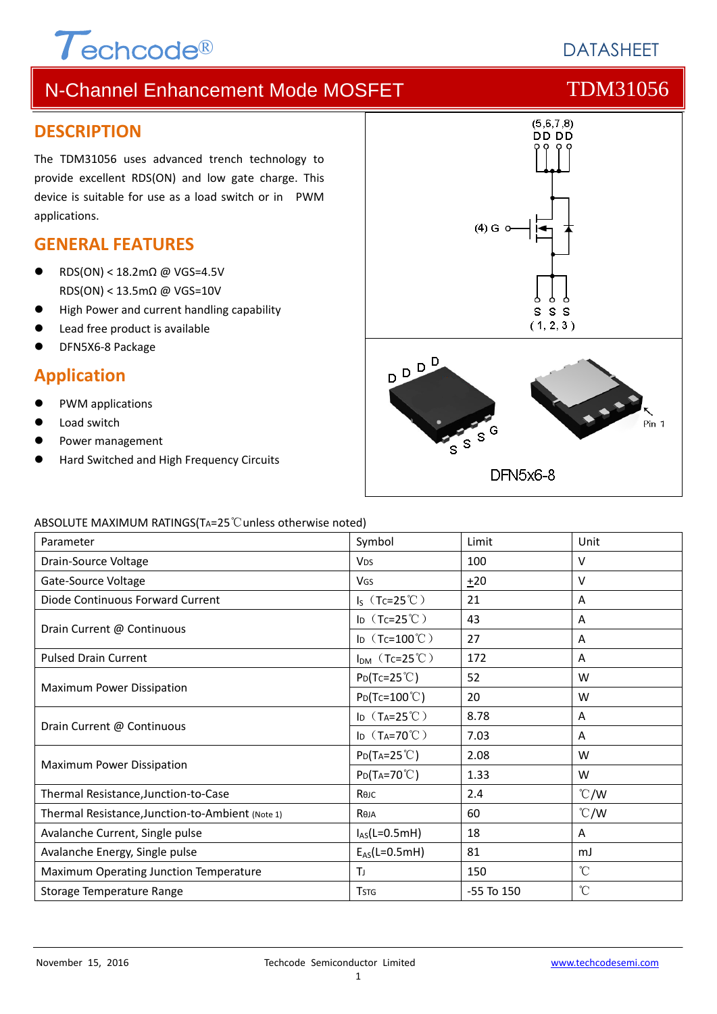# $\tau$ echcode®

# N-Channel Enhancement Mode MOSFET TOM31056

#### **DESCRIPTION**

The TDM31056 uses advanced trench technology to provide excellent RDS(ON) and low gate charge. This device is suitable for use as a load switch or in PWM applications.

### **GENERAL FEATURES**

- RDS(ON) < 18.2mΩ @ VGS=4.5V RDS(ON) < 13.5mΩ @ VGS=10V
- High Power and current handling capability
- Lead free product is available
- DFN5X6‐8 Package

### **Application**

- PWM applications
- Load switch
- Power management
- Hard Switched and High Frequency Circuits



ABSOLUTE MAXIMUM RATINGS(TA=25℃unless otherwise noted)

| Parameter                                        | Symbol                  | Limit          | Unit            |
|--------------------------------------------------|-------------------------|----------------|-----------------|
| Drain-Source Voltage                             | <b>V<sub>DS</sub></b>   | 100            | v               |
| Gate-Source Voltage                              | VGS                     | ±20            | $\vee$          |
| Diode Continuous Forward Current                 | $I_S$ (Tc=25°C)         | 21             | Α               |
| Drain Current @ Continuous                       | ID $(Tc=25^{\circ}C)$   | 43             | A               |
|                                                  | ID $(Tc=100^{\circ}C)$  | 27             | A               |
| <b>Pulsed Drain Current</b>                      | $I_{DM}$ (Tc=25°C)      | 172            | A               |
| Maximum Power Dissipation                        | $P_{D}(Tc=25^{\circ}C)$ | 52             | W               |
|                                                  | $Po(Tc=100^{\circ}C)$   | 20             | W               |
| Drain Current @ Continuous                       | ID $(T_A=25^{\circ}C)$  | 8.78           | Α               |
|                                                  | ID $(T_A=70^{\circ}C)$  | 7.03           | A               |
| Maximum Power Dissipation                        | $P_{D}(Ta=25^{\circ}C)$ | 2.08           | W               |
|                                                  | $P_{D}(Ta=70^{\circ}C)$ | 1.33           | W               |
| Thermal Resistance, Junction-to-Case             | Көлс                    | 2.4            | $\degree$ C/W   |
| Thermal Resistance, Junction-to-Ambient (Note 1) | Reja                    | 60             | $\degree$ C/W   |
| Avalanche Current, Single pulse                  | $I_{AS}(L=0.5mH)$       | 18             | A               |
| Avalanche Energy, Single pulse                   | $E_{AS}(L=0.5mH)$       | 81             | mJ              |
| Maximum Operating Junction Temperature           | T                       | 150            | $\rm ^{\circ}C$ |
| Storage Temperature Range                        | <b>T</b> <sub>STG</sub> | $-55$ To $150$ | $\mathrm{C}$    |

**DATASHEFT**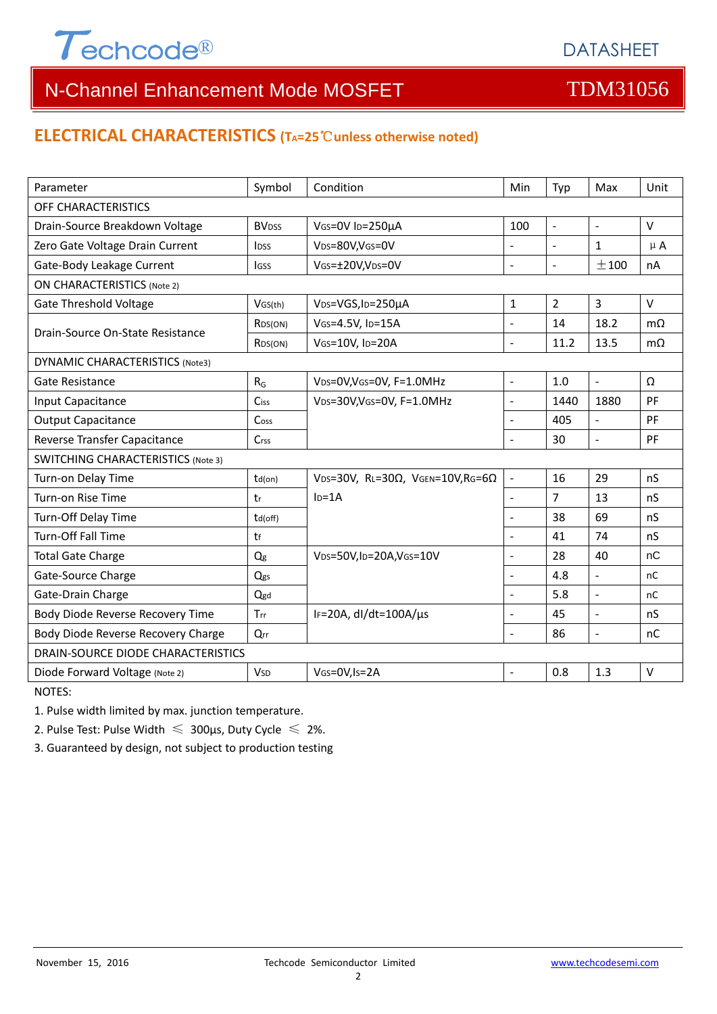

### **ELECTRICAL CHARACTERISTICS (TA=25**℃**unless otherwise noted)**

| Parameter                                 | Symbol                  | Condition                                         | Min                      | Typ                      | Max                      | Unit         |  |  |
|-------------------------------------------|-------------------------|---------------------------------------------------|--------------------------|--------------------------|--------------------------|--------------|--|--|
| OFF CHARACTERISTICS                       |                         |                                                   |                          |                          |                          |              |  |  |
| Drain-Source Breakdown Voltage            | <b>BV<sub>DSS</sub></b> | VGS=0V ID=250µA                                   | 100                      | $\blacksquare$           | $\sim$                   | $\vee$       |  |  |
| Zero Gate Voltage Drain Current           | <b>IDSS</b>             | VDS=80V,VGS=0V                                    | $\overline{a}$           | $\overline{\phantom{a}}$ | $\mathbf{1}$             | $\mu$ A      |  |  |
| Gate-Body Leakage Current                 | <b>I</b> GSS            | VGS=±20V,VDS=0V                                   | ÷,                       | $\blacksquare$           | ±100                     | nA           |  |  |
| <b>ON CHARACTERISTICS (Note 2)</b>        |                         |                                                   |                          |                          |                          |              |  |  |
| <b>Gate Threshold Voltage</b>             | VGS(th)                 | V <sub>DS</sub> =VGS, I <sub>D</sub> =250µA       | $\mathbf{1}$             | $\overline{2}$           | $\overline{3}$           | $\vee$       |  |  |
| Drain-Source On-State Resistance          | R <sub>DS</sub> (ON)    | VGS=4.5V, ID=15A                                  | $\overline{a}$           | 14                       | 18.2                     | $m\Omega$    |  |  |
|                                           | R <sub>DS</sub> (ON)    | VGS=10V, ID=20A                                   | $\overline{a}$           | 11.2                     | 13.5                     | $m\Omega$    |  |  |
| <b>DYNAMIC CHARACTERISTICS (Note3)</b>    |                         |                                                   |                          |                          |                          |              |  |  |
| Gate Resistance                           | $R_G$                   | VDS=0V, VGS=0V, F=1.0MHz                          | $\blacksquare$           | 1.0                      | $\mathbb{Z}^2$           | Ω            |  |  |
| Input Capacitance                         | Ciss                    | VDS=30V, VGS=0V, F=1.0MHz                         | $\overline{\phantom{a}}$ | 1440                     | 1880                     | PF           |  |  |
| <b>Output Capacitance</b>                 | Coss                    |                                                   | $\overline{a}$           | 405                      | $\Box$                   | PF           |  |  |
| Reverse Transfer Capacitance              | Crss                    |                                                   | $\overline{a}$           | 30                       | $\sim$                   | PF           |  |  |
| <b>SWITCHING CHARACTERISTICS (Note 3)</b> |                         |                                                   |                          |                          |                          |              |  |  |
| Turn-on Delay Time                        | td(on)                  | VDS=30V, RL=30 $\Omega$ , VGEN=10V, RG=6 $\Omega$ | $\Box$                   | 16                       | 29                       | nS           |  |  |
| Turn-on Rise Time                         | tr                      | $ID=1A$                                           | $\overline{\phantom{a}}$ | $\overline{7}$           | 13                       | nS           |  |  |
| Turn-Off Delay Time                       | td(off)                 |                                                   | $\overline{\phantom{a}}$ | 38                       | 69                       | nS           |  |  |
| <b>Turn-Off Fall Time</b>                 | tf                      |                                                   |                          | 41                       | 74                       | nS           |  |  |
| <b>Total Gate Charge</b>                  | Q <sub>g</sub>          | VDS=50V,ID=20A,VGS=10V                            | $\blacksquare$           | 28                       | 40                       | nC           |  |  |
| Gate-Source Charge                        | Qgs                     |                                                   | $\blacksquare$           | 4.8                      | $\overline{\phantom{a}}$ | nC           |  |  |
| Gate-Drain Charge                         | Qgd                     |                                                   | $\blacksquare$           | 5.8                      | $\overline{\phantom{a}}$ | nC           |  |  |
| Body Diode Reverse Recovery Time          | Trr                     | IF=20A, $dl/dt=100A/\mu s$                        | $\overline{\phantom{a}}$ | 45                       | $\overline{\phantom{a}}$ | nS           |  |  |
| Body Diode Reverse Recovery Charge        | Qrr                     |                                                   | $\blacksquare$           | 86                       | $\blacksquare$           | nC           |  |  |
| DRAIN-SOURCE DIODE CHARACTERISTICS        |                         |                                                   |                          |                          |                          |              |  |  |
| Diode Forward Voltage (Note 2)            | <b>V<sub>SD</sub></b>   | VGS=0V, Is=2A                                     |                          | 0.8                      | 1.3                      | $\mathsf{V}$ |  |  |

NOTES:

1. Pulse width limited by max. junction temperature.

2. Pulse Test: Pulse Width  $\leq 300$ μs, Duty Cycle  $\leq 2\%$ .

3. Guaranteed by design, not subject to production testing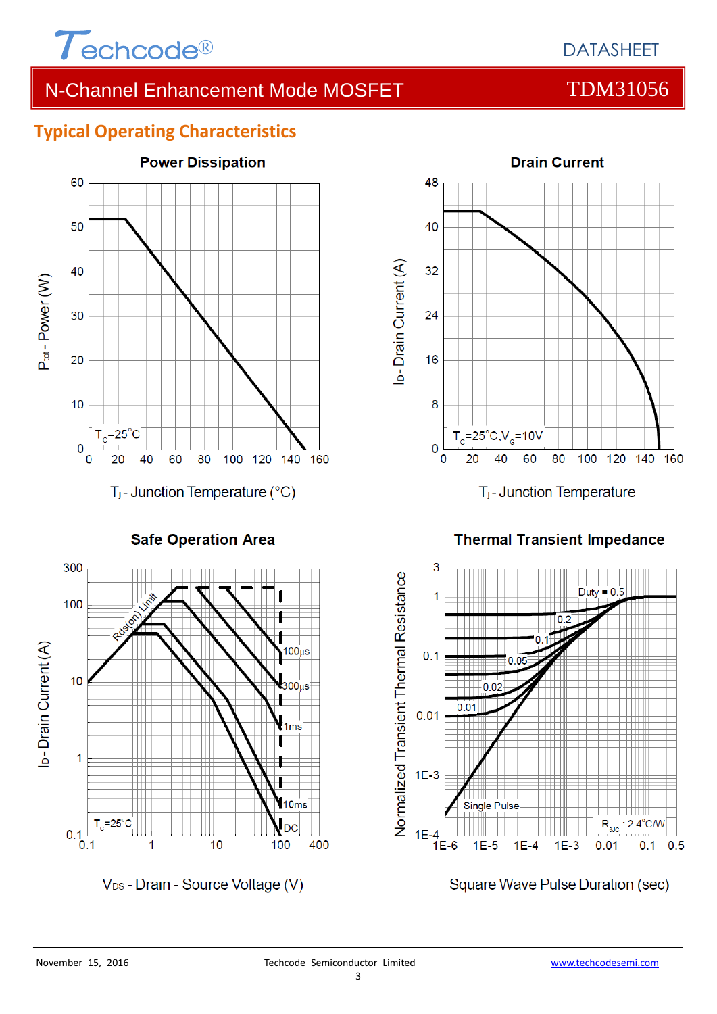

### **Typical Operating Characteristics**



**Safe Operation Area** 



V<sub>DS</sub> - Drain - Source Voltage (V)



T<sub>j</sub>-Junction Temperature

**Thermal Transient Impedance** 



Square Wave Pulse Duration (sec)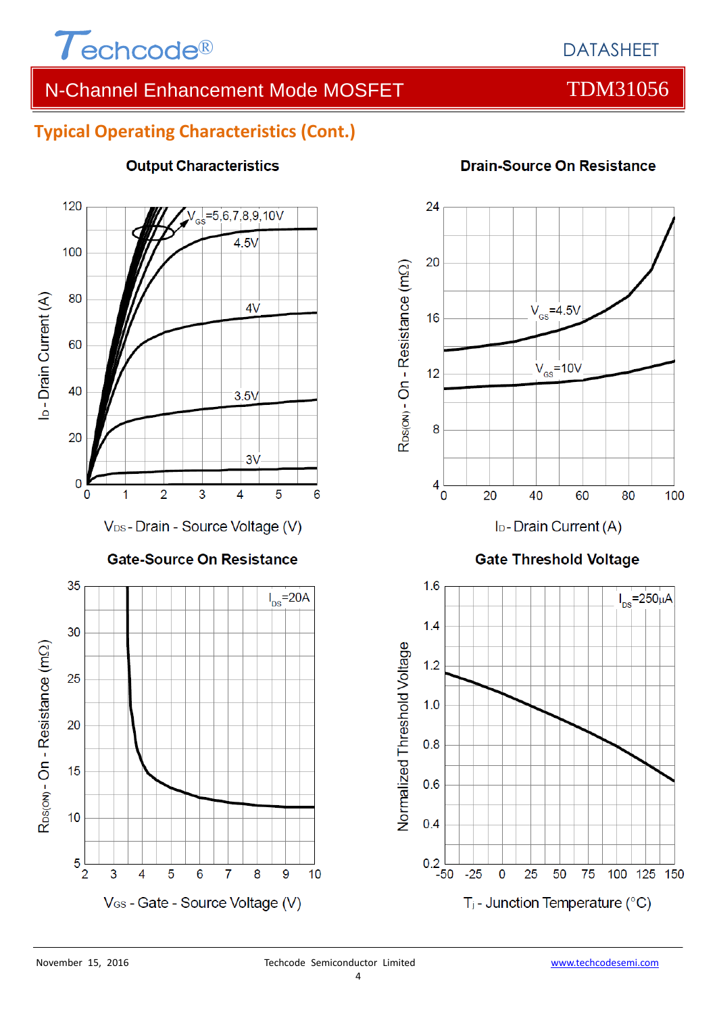

### **Typical Operating Characteristics (Cont.)**



#### **Output Characteristics**

#### **Drain-Source On Resistance**



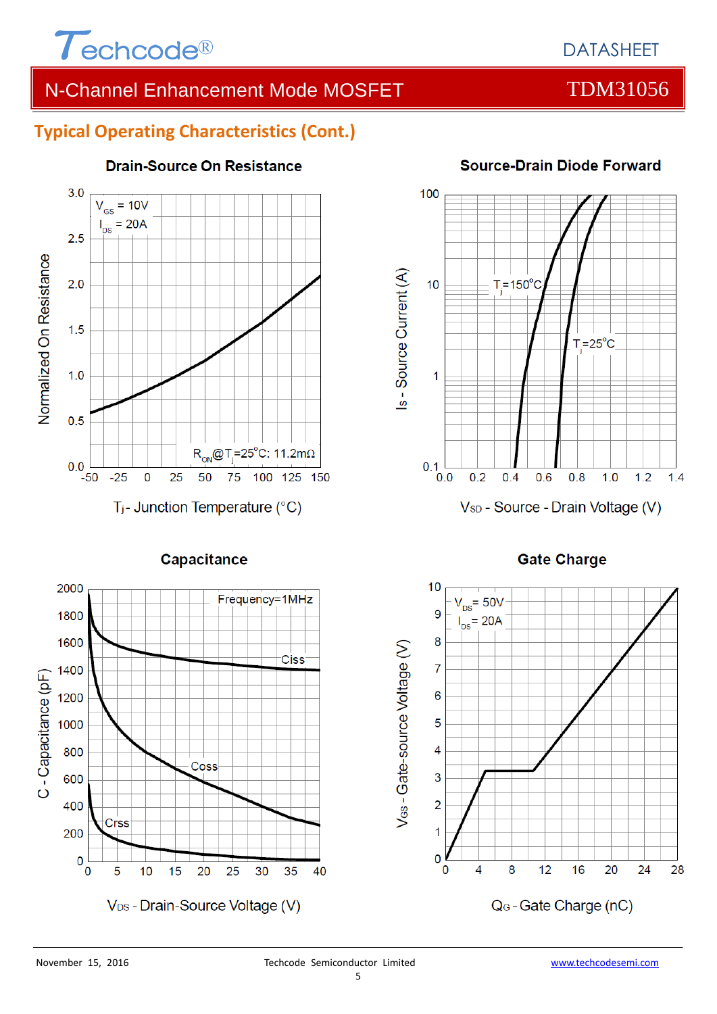

### **Typical Operating Characteristics (Cont.)**



**Capacitance** 

#### **Drain-Source On Resistance**



#### **Source-Drain Diode Forward**



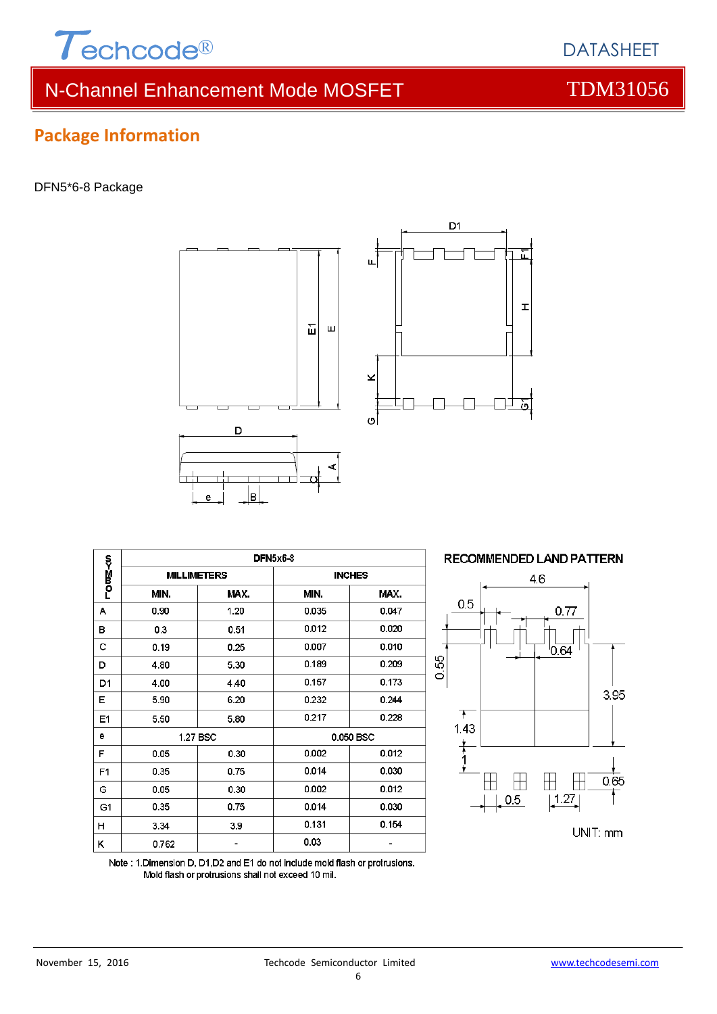

# **Package Information**

DFN5\*6-8 Package

| B<br>е         |                    |          |               |       |  |  |  |  |
|----------------|--------------------|----------|---------------|-------|--|--|--|--|
| rom∑≺o         | DFN5x6-8           |          |               |       |  |  |  |  |
|                | <b>MILLIMETERS</b> |          | <b>INCHES</b> |       |  |  |  |  |
|                | MIN.               | MAX.     | MIN.          | MAX.  |  |  |  |  |
| А              | 0.90               | 1.20     | 0.035         | 0.047 |  |  |  |  |
| в              | 0.3                | 0.51     | 0.012         | 0.020 |  |  |  |  |
| c              | 0.19               | 0.25     | 0.007         | 0.010 |  |  |  |  |
| D              | 4.80               | 5.30     | 0.189         | 0.209 |  |  |  |  |
| D1             | 4.00               | 4.40     | 0.157         | 0.173 |  |  |  |  |
| Е              | 5.90               | 6.20     | 0.232         | 0.244 |  |  |  |  |
| E1             | 5.50               | 5.80     | 0.217         | 0.228 |  |  |  |  |
| е              |                    | 1.27 BSC | 0.050 BSC     |       |  |  |  |  |
| F              | 0.05               | 0.30     | 0.002         | 0.012 |  |  |  |  |
| F <sub>1</sub> | 0.35               | 0.75     | 0.014         | 0.030 |  |  |  |  |
| G              | 0.05               | 0.30     | 0.002         | 0.012 |  |  |  |  |
| G <sub>1</sub> | 0.35               | 0.75     | 0.014         | 0.030 |  |  |  |  |
| н              | 3.34               | 3.9      | 0.131         | 0.154 |  |  |  |  |
| κ              | 0.762              |          | 0.03          |       |  |  |  |  |

Note: 1.Dimension D, D1,D2 and E1 do not include mold flash or protrusions.

Mold flash or protrusions shall not exceed 10 mil.

D

 $\overline{1}$